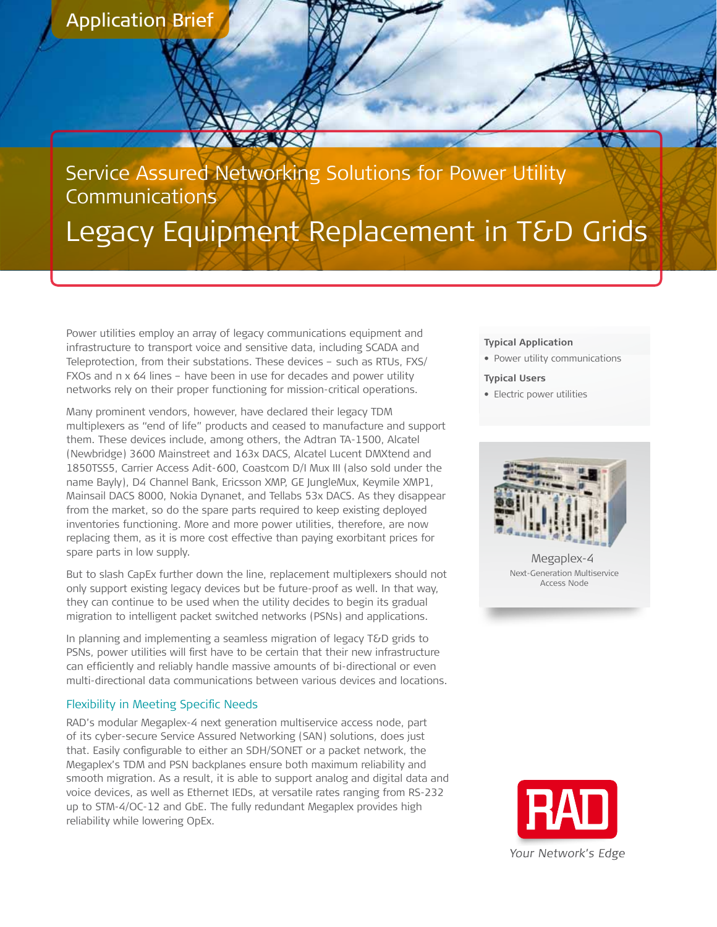**Application Brief** 

# Service Assured Networking Solutions for Power Utility **Communications** Legacy Equipment Replacement in T&D Grids

Power utilities employ an array of legacy communications equipment and infrastructure to transport voice and sensitive data, including SCADA and Teleprotection, from their substations. These devices - such as RTUs, FXS/ FXOs and n x 64 lines – have been in use for decades and power utility networks rely on their proper functioning for mission-critical operations.

Many prominent vendors, however, have declared their legacy TDM multiplexers as "end of life" products and ceased to manufacture and support them. These devices include, among others, the Adtran TA-1500, Alcatel (Newbridge) 3600 Mainstreet and 163x DACS, Alcatel Lucent DMXtend and 1850TSS5, Carrier Access Adit-600, Coastcom D/I Mux III (also sold under the name Bayly), D4 Channel Bank, Ericsson XMP, GE JungleMux, Keymile XMP1, Mainsail DACS 8000, Nokia Dynanet, and Tellabs 53x DACS. As they disappear from the market, so do the spare parts required to keep existing deployed inventories functioning. More and more power utilities, therefore, are now replacing them, as it is more cost effective than paying exorbitant prices for spare parts in low supply.

But to slash CapEx further down the line, replacement multiplexers should not only support existing legacy devices but be future-proof as well. In that way, they can continue to be used when the utility decides to begin its gradual migration to intelligent packet switched networks (PSNs) and applications.

In planning and implementing a seamless migration of legacy T&D grids to PSNs, power utilities will first have to be certain that their new infrastructure can efficiently and reliably handle massive amounts of bi-directional or even multi-directional data communications between various devices and locations.

#### Flexibility in Meeting Specific Needs

RAD's modular Megaplex-4 next generation multiservice access node, part of its cyber-secure Service Assured Networking (SAN) solutions, does just that. Easily configurable to either an SDH/SONET or a packet network, the Megaplex's TDM and PSN backplanes ensure both maximum reliability and smooth migration. As a result, it is able to support analog and digital data and voice devices, as well as Ethernet IEDs, at versatile rates ranging from RS-232 up to STM-4/OC-12 and GbE. The fully redundant Megaplex provides high reliability while lowering OpEx.

#### **Typical Application**

**•** Power utility communications

#### **Typical Users**

**•** Electric power utilities



Megaplex-4 Next-Generation-Multiservice Access Node

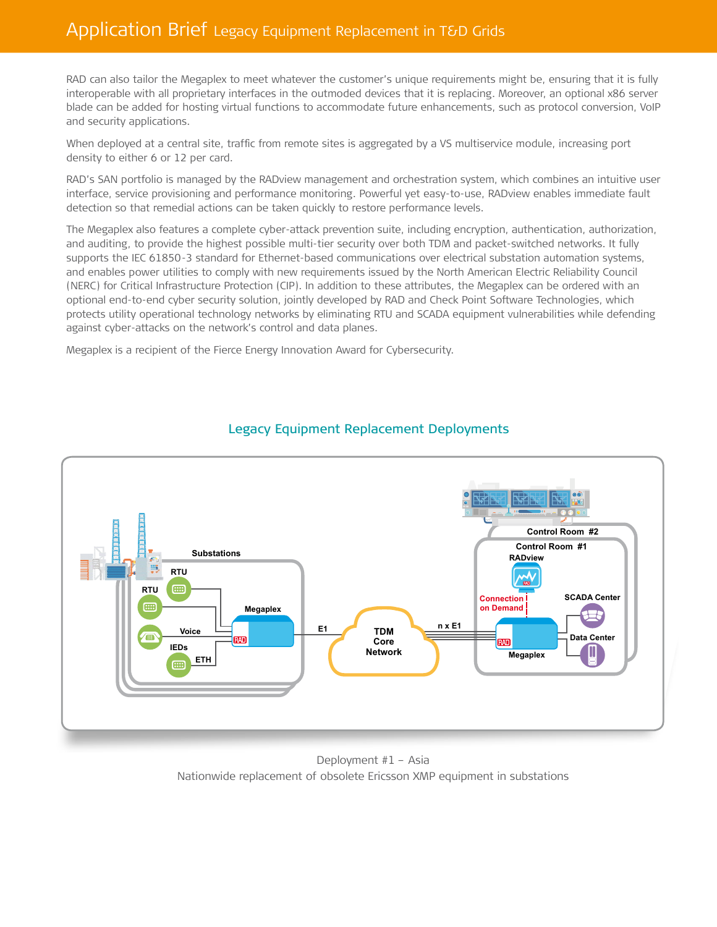## Application Brief Legacy Equipment Replacement in T&D Grids

RAD can also tailor the Megaplex to meet whatever the customer's unique requirements might be, ensuring that it is fully interoperable with all proprietary interfaces in the outmoded devices that it is replacing. Moreover, an optional x86 server blade can be added for hosting virtual functions to accommodate future enhancements, such as protocol conversion, VoIP and security applications.

When deployed at a central site, traffic from remote sites is aggregated by a VS multiservice module, increasing port density to either 6 or 12 per card.

RAD's SAN portfolio is managed by the RADview management and orchestration system, which combines an intuitive user interface, service provisioning and performance monitoring. Powerful yet easy-to-use, RADview enables immediate fault detection so that remedial actions can be taken quickly to restore performance levels.

The Megaplex also features a complete cyber-attack prevention suite, including encryption, authentication, authorization, and auditing, to provide the highest possible multi-tier security over both TDM and packet-switched networks. It fully supports the IEC 61850-3 standard for Ethernet-based communications over electrical substation automation systems, and enables power utilities to comply with new requirements issued by the North American Electric Reliability Council (NERC) for Critical Infrastructure Protection (CIP). In addition to these attributes, the Megaplex can be ordered with an optional end-to-end cyber security solution, jointly developed by RAD and Check Point Software Technologies, which protects utility operational technology networks by eliminating RTU and SCADA equipment vulnerabilities while defending against cyber-attacks on the network's control and data planes.

Megaplex is a recipient of the Fierce Energy Innovation Award for Cybersecurity.



### Legacy Equipment Replacement Deployments

Deployment  $#1 -$  Asia Nationwide replacement of obsolete Ericsson XMP equipment in substations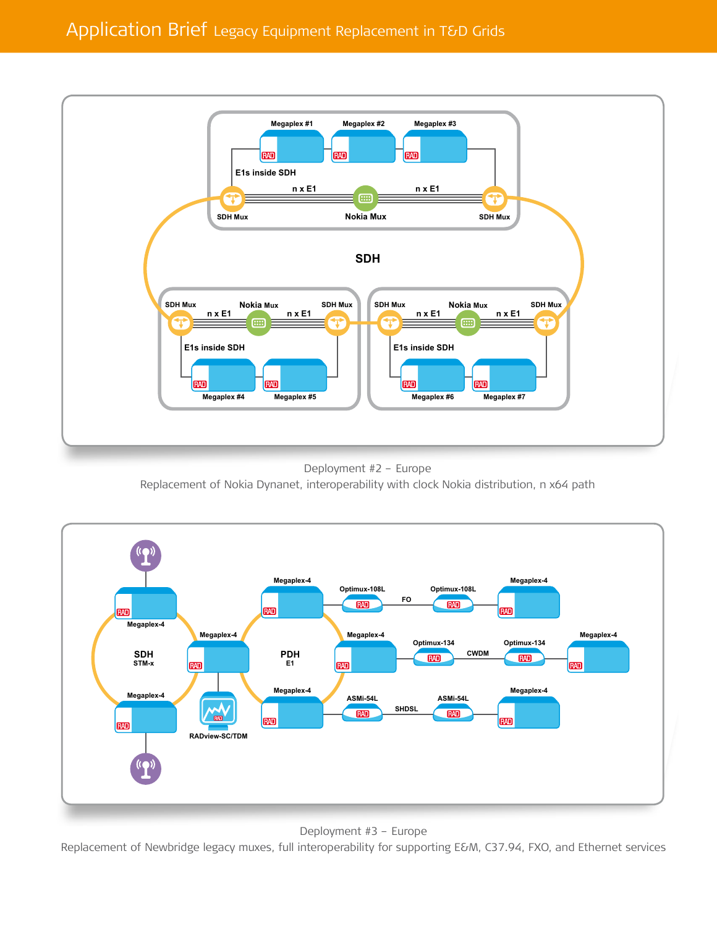

Deployment #2 - Europe Replacement of Nokia Dynanet, interoperability with clock Nokia distribution, n x64 path



Deployment #3 - Europe

Replacement of Newbridge legacy muxes, full interoperability for supporting E&M, C37.94, FXO, and Ethernet services